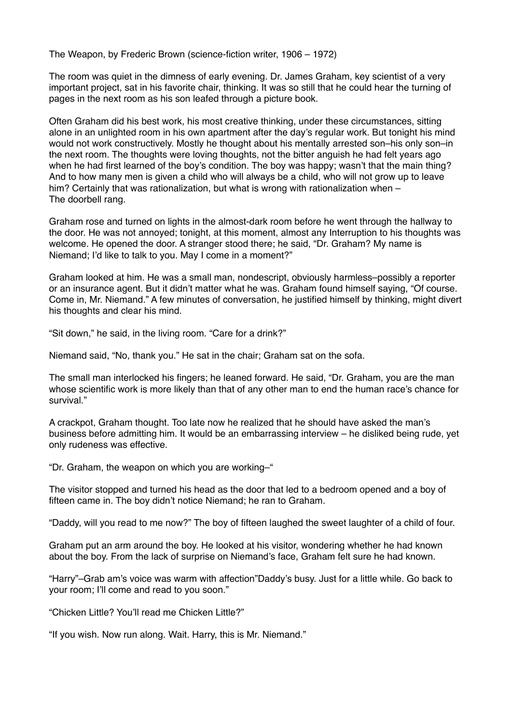The Weapon, by Frederic Brown (science-fiction writer, 1906 – 1972)

The room was quiet in the dimness of early evening. Dr. James Graham, key scientist of a very important project, sat in his favorite chair, thinking. It was so still that he could hear the turning of pages in the next room as his son leafed through a picture book.

Often Graham did his best work, his most creative thinking, under these circumstances, sitting alone in an unlighted room in his own apartment after the day's regular work. But tonight his mind would not work constructively. Mostly he thought about his mentally arrested son–his only son–in the next room. The thoughts were loving thoughts, not the bitter anguish he had felt years ago when he had first learned of the boy's condition. The boy was happy; wasn't that the main thing? And to how many men is given a child who will always be a child, who will not grow up to leave him? Certainly that was rationalization, but what is wrong with rationalization when – The doorbell rang.

Graham rose and turned on lights in the almost-dark room before he went through the hallway to the door. He was not annoyed; tonight, at this moment, almost any Interruption to his thoughts was welcome. He opened the door. A stranger stood there; he said, "Dr. Graham? My name is Niemand; I'd like to talk to you. May I come in a moment?"

Graham looked at him. He was a small man, nondescript, obviously harmless–possibly a reporter or an insurance agent. But it didn't matter what he was. Graham found himself saying, "Of course. Come in, Mr. Niemand." A few minutes of conversation, he justified himself by thinking, might divert his thoughts and clear his mind.

"Sit down," he said, in the living room. "Care for a drink?"

Niemand said, "No, thank you." He sat in the chair; Graham sat on the sofa.

The small man interlocked his fingers; he leaned forward. He said, "Dr. Graham, you are the man whose scientific work is more likely than that of any other man to end the human race's chance for survival."

A crackpot, Graham thought. Too late now he realized that he should have asked the man's business before admitting him. It would be an embarrassing interview – he disliked being rude, yet only rudeness was effective.

"Dr. Graham, the weapon on which you are working–"

The visitor stopped and turned his head as the door that led to a bedroom opened and a boy of fifteen came in. The boy didn't notice Niemand; he ran to Graham.

"Daddy, will you read to me now?" The boy of fifteen laughed the sweet laughter of a child of four.

Graham put an arm around the boy. He looked at his visitor, wondering whether he had known about the boy. From the lack of surprise on Niemand's face, Graham felt sure he had known.

"Harry"–Grab am's voice was warm with affection"Daddy's busy. Just for a little while. Go back to your room; I'll come and read to you soon."

"Chicken Little? You'll read me Chicken Little?"

"If you wish. Now run along. Wait. Harry, this is Mr. Niemand."